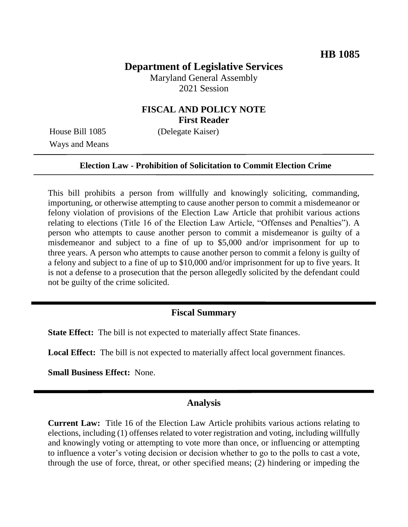# **Department of Legislative Services**

Maryland General Assembly 2021 Session

# **FISCAL AND POLICY NOTE First Reader**

Ways and Means

House Bill 1085 (Delegate Kaiser)

### **Election Law - Prohibition of Solicitation to Commit Election Crime**

This bill prohibits a person from willfully and knowingly soliciting, commanding, importuning, or otherwise attempting to cause another person to commit a misdemeanor or felony violation of provisions of the Election Law Article that prohibit various actions relating to elections (Title 16 of the Election Law Article, "Offenses and Penalties"). A person who attempts to cause another person to commit a misdemeanor is guilty of a misdemeanor and subject to a fine of up to \$5,000 and/or imprisonment for up to three years. A person who attempts to cause another person to commit a felony is guilty of a felony and subject to a fine of up to \$10,000 and/or imprisonment for up to five years. It is not a defense to a prosecution that the person allegedly solicited by the defendant could not be guilty of the crime solicited.

### **Fiscal Summary**

**State Effect:** The bill is not expected to materially affect State finances.

**Local Effect:** The bill is not expected to materially affect local government finances.

**Small Business Effect:** None.

#### **Analysis**

**Current Law:** Title 16 of the Election Law Article prohibits various actions relating to elections, including (1) offenses related to voter registration and voting, including willfully and knowingly voting or attempting to vote more than once, or influencing or attempting to influence a voter's voting decision or decision whether to go to the polls to cast a vote, through the use of force, threat, or other specified means; (2) hindering or impeding the